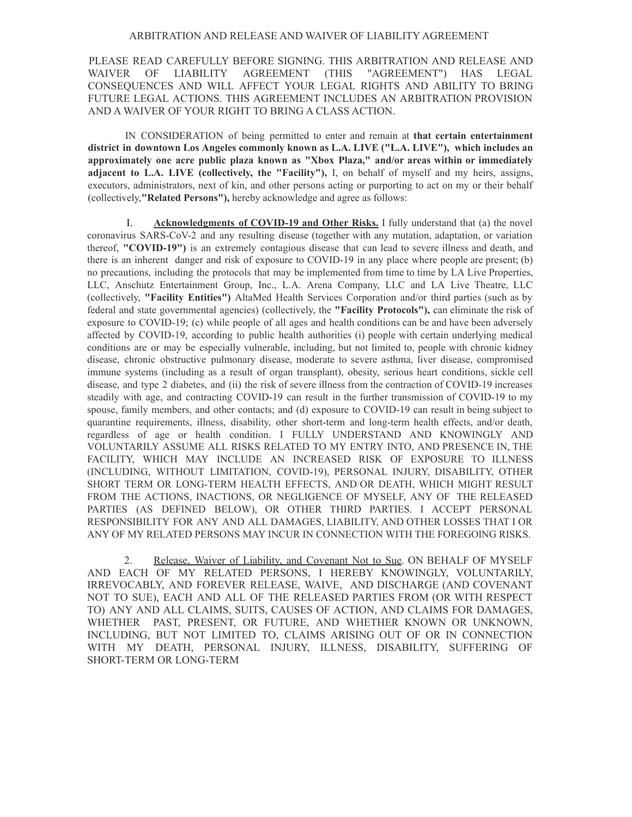## ARBITRATION AND RELEASE AND WAIVER OF LIABILITY AGREEMENT

PLEASE READ CAREFULLY BEFORE SIGNING. THIS ARBITRATION AND RELEASE AND WAIVER OF LIABILITY AGREEMENT (THIS "AGREEMENT") HAS LEGAL CONSEQUENCES AND WILL AFFECT YOUR LEGAL RIGHTS AND ABILITY TO BRING FUTURE LEGAL ACTIONS. THIS AGREEMENT INCLUDES AN ARBITRATION PROVISION AND A WAIVER OF YOUR RIGHT TO BRING A CLASS ACTION.

IN CONSIDERATION of being permitted to enter and remain at **that certain entertainment district in downtown Los Angeles commonly known as L.A. LIVE ("L.A. LIVE"), which includes an approximately one acre public plaza known as "Xbox Plaza," and/or areas within or immediately adjacent to L.A. LIVE (collectively, the "Facility"),** I, on behalf of myself and my heirs, assigns, executors, administrators, next of kin, and other persons acting or purporting to act on my or their behalf (collectively,**"Related Persons"),** hereby acknowledge and agree as follows:

I. **Acknowledgments of COVID-19 and Other Risks.** I fully understand that (a) the novel coronavirus SARS-CoV-2 and any resulting disease (together with any mutation, adaptation, or variation thereof, **"COVID-19")** is an extremely contagious disease that can lead to severe illness and death, and there is an inherent danger and risk of exposure to COVID-19 in any place where people are present; (b) no precautions, including the protocols that may be implemented from time to time by LA Live Properties, LLC, Anschutz Entertainment Group, Inc., L.A. Arena Company, LLC and LA Live Theatre, LLC (collectively, **"Facility Entities")** AltaMed Health Services Corporation and/or third parties (such as by federal and state governmental agencies) (collectively, the **"Facility Protocols"),** can eliminate the risk of exposure to COVID-19; (c) while people of all ages and health conditions can be and have been adversely affected by COVID-19, according to public health authorities (i) people with certain underlying medical conditions are or may be especially vulnerable, including, but not limited to, people with chronic kidney disease, chronic obstructive pulmonary disease, moderate to severe asthma, liver disease, compromised immune systems (including as a result of organ transplant), obesity, serious heart conditions, sickle cell disease, and type 2 diabetes, and (ii) the risk of severe illness from the contraction of COVID-19 increases steadily with age, and contracting COVID-19 can result in the further transmission of COVID-19 to my spouse, family members, and other contacts; and (d) exposure to COVID-19 can result in being subject to quarantine requirements, illness, disability, other short-term and long-term health effects, and/or death, regardless of age or health condition. I FULLY UNDERSTAND AND KNOWINGLY AND VOLUNTARILY ASSUME ALL RISKS RELATED TO MY ENTRY INTO, AND PRESENCE IN, THE FACILITY, WHICH MAY INCLUDE AN INCREASED RISK OF EXPOSURE TO ILLNESS (INCLUDING, WITHOUT LIMITATION, COVID-19), PERSONAL INJURY, DISABILITY, OTHER SHORT TERM OR LONG-TERM HEALTH EFFECTS, AND/OR DEATH, WHICH MIGHT RESULT FROM THE ACTIONS, INACTIONS, OR NEGLIGENCE OF MYSELF, ANY OF THE RELEASED PARTIES (AS DEFINED BELOW), OR OTHER THIRD PARTIES. I ACCEPT PERSONAL RESPONSIBILITY FOR ANY AND ALL DAMAGES, LIABILITY, AND OTHER LOSSES THAT I OR ANY OF MY RELATED PERSONS MAY INCUR IN CONNECTION WITH THE FOREGOlNG RISKS.

2. Release, Waiver of Liability, and Covenant Not to Sue. ON BEHALF OF MYSELF AND EACH OF MY RELATED PERSONS, I HEREBY KNOWINGLY, VOLUNTARILY, IRREVOCABLY, AND FOREVER RELEASE, WAIVE, AND DISCHARGE (AND COVENANT NOT TO SUE), EACH AND ALL OF THE RELEASED PARTIES FROM (OR WITH RESPECT TO) ANY AND ALL CLAIMS, SUITS, CAUSES OF ACTION, AND CLAIMS FOR DAMAGES, WHETHER PAST, PRESENT, OR FUTURE, AND WHETHER KNOWN OR UNKNOWN, INCLUDING, BUT NOT LIMITED TO, CLAIMS ARISING OUT OF OR IN CONNECTION WITH MY DEATH, PERSONAL INJURY, ILLNESS, DISABILITY, SUFFERING OF SHORT-TERM OR LONG-TERM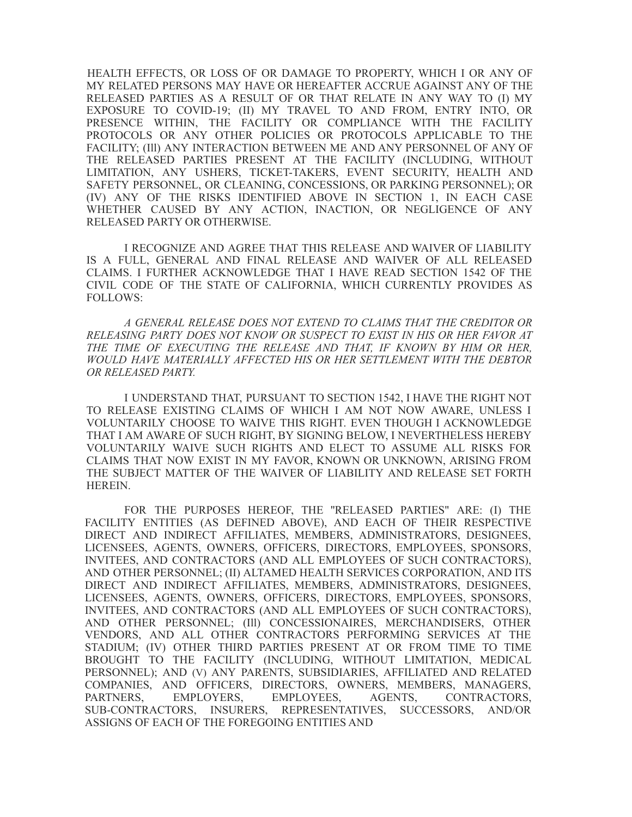HEALTH EFFECTS, OR LOSS OF OR DAMAGE TO PROPERTY, WHICH I OR ANY OF MY RELATED PERSONS MAY HAVE OR HEREAFTER ACCRUE AGAINST ANY OF THE RELEASED PARTIES AS A RESULT OF OR THAT RELATE IN ANY WAY TO (I) MY EXPOSURE TO COVID-19; (II) MY TRAVEL TO AND FROM, ENTRY INTO, OR PRESENCE WITHIN, THE FACILITY OR COMPLIANCE WITH THE FACILITY PROTOCOLS OR ANY OTHER POLICIES OR PROTOCOLS APPLICABLE TO THE FACILITY; (Ill) ANY INTERACTION BETWEEN ME AND ANY PERSONNEL OF ANY OF THE RELEASED PARTIES PRESENT AT THE FACILITY (INCLUDING, WITHOUT LIMITATION, ANY USHERS, TICKET-TAKERS, EVENT SECURITY, HEALTH AND SAFETY PERSONNEL, OR CLEANING, CONCESSIONS, OR PARKING PERSONNEL); OR (IV) ANY OF THE RISKS IDENTIFIED ABOVE IN SECTION 1, IN EACH CASE WHETHER CAUSED BY ANY ACTION, INACTION, OR NEGLIGENCE OF ANY RELEASED PARTY OR OTHERWISE.

I RECOGNIZE AND AGREE THAT THIS RELEASE AND WAIVER OF LIABILITY IS A FULL, GENERAL AND FINAL RELEASE AND WAIVER OF ALL RELEASED CLAIMS. I FURTHER ACKNOWLEDGE THAT I HAVE READ SECTION 1542 OF THE CIVIL CODE OF THE STATE OF CALIFORNIA, WHICH CURRENTLY PROVIDES AS FOLLOWS:

*A GENERAL RELEASE DOES NOT EXTEND TO CLAIMS THAT THE CREDITOR OR RELEASING PARTY DOES NOT KNOW OR SUSPECT TO EXIST IN HIS OR HER FAVOR AT THE TIME OF EXECUTING THE RELEASE AND THAT, IF KNOWN BY HIM OR HER, WOULD HAVE MATERIALLY AFFECTED HIS OR HER SETTLEMENT WITH THE DEBTOR OR RELEASED PARTY.*

I UNDERSTAND THAT, PURSUANT TO SECTION 1542, I HAVE THE RIGHT NOT TO RELEASE EXISTING CLAIMS OF WHICH I AM NOT NOW AWARE, UNLESS I VOLUNTARILY CHOOSE TO WAIVE THIS RIGHT. EVEN THOUGH I ACKNOWLEDGE THAT I AM AWARE OF SUCH RIGHT, BY SIGNING BELOW, I NEVERTHELESS HEREBY VOLUNTARILY WAIVE SUCH RIGHTS AND ELECT TO ASSUME ALL RISKS FOR CLAIMS THAT NOW EXIST IN MY FAVOR, KNOWN OR UNKNOWN, ARISING FROM THE SUBJECT MATTER OF THE WAIVER OF LIABILITY AND RELEASE SET FORTH HEREIN.

FOR THE PURPOSES HEREOF, THE ''RELEASED PARTIES" ARE: (I) THE FACILITY ENTITIES (AS DEFINED ABOVE), AND EACH OF THEIR RESPECTIVE DIRECT AND INDIRECT AFFILIATES, MEMBERS, ADMINISTRATORS, DESIGNEES, LICENSEES, AGENTS, OWNERS, OFFICERS, DIRECTORS, EMPLOYEES, SPONSORS, INVITEES, AND CONTRACTORS (AND ALL EMPLOYEES OF SUCH CONTRACTORS), AND OTHER PERSONNEL; (II) ALTAMED HEALTH SERVICES CORPORATION, AND ITS DIRECT AND INDIRECT AFFILIATES, MEMBERS, ADMINISTRATORS, DESIGNEES, LICENSEES, AGENTS, OWNERS, OFFICERS, DIRECTORS, EMPLOYEES, SPONSORS, INVITEES, AND CONTRACTORS (AND ALL EMPLOYEES OF SUCH CONTRACTORS), AND OTHER PERSONNEL; (Ill) CONCESSIONAIRES, MERCHANDISERS, OTHER VENDORS, AND ALL OTHER CONTRACTORS PERFORMING SERVICES AT THE STADIUM; (IV) OTHER THIRD PARTIES PRESENT AT OR FROM TIME TO TIME BROUGHT TO THE FACILITY (INCLUDING, WITHOUT LIMITATION, MEDICAL PERSONNEL); AND (V) ANY PARENTS, SUBSIDIARIES, AFFILIATED AND RELATED COMPANIES, AND OFFICERS, DIRECTORS, OWNERS, MEMBERS, MANAGERS, PARTNERS, EMPLOYERS, EMPLOYEES, AGENTS, CONTRACTORS, SUB-CONTRACTORS, INSURERS, REPRESENTATIVES, SUCCESSORS, AND/OR ASSIGNS OF EACH OF THE FOREGOING ENTITIES AND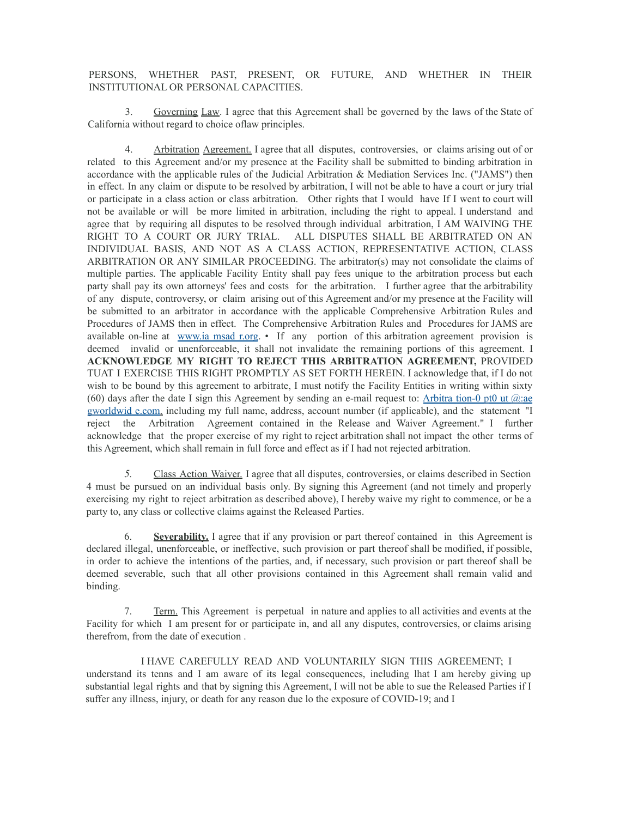PERSONS, WHETHER PAST, PRESENT, OR FUTURE, AND WHETHER IN THEIR INSTITUTIONAL OR PERSONAL CAPACITIES.

3. Governing Law. I agree that this Agreement shall be governed by the laws of the State of California without regard to choice oflaw principles.

4. Arbitration Agreement. I agree that all disputes, controversies, or claims arising out of or related to this Agreement and/or my presence at the Facility shall be submitted to binding arbitration in accordance with the applicable rules of the Judicial Arbitration & Mediation Services Inc. ("JAMS") then in effect. In any claim or dispute to be resolved by arbitration, I will not be able to have a court or jury trial or participate in a class action or class arbitration. Other rights that I would have If I went to court will not be available or will be more limited in arbitration, including the right to appeal. I understand and agree that by requiring all disputes to be resolved through individual arbitration, I AM WAIVING THE RIGHT TO A COURT OR JURY TRIAL. ALL DISPUTES SHALL BE ARBITRATED ON AN INDIVIDUAL BASIS, AND NOT AS A CLASS ACTION, REPRESENTATIVE ACTION, CLASS ARBITRATION OR ANY SIMILAR PROCEEDING. The arbitrator(s) may not consolidate the claims of multiple parties. The applicable Facility Entity shall pay fees unique to the arbitration process but each party shall pay its own attorneys' fees and costs for the arbitration. I further agree that the arbitrability of any dispute, controversy, or claim arising out of this Agreement and/or my presence at the Facility will be submitted to an arbitrator in accordance with the applicable Comprehensive Arbitration Rules and Procedures of JAMS then in effect. The Comprehensive Arbitration Rules and Procedures for JAMS are available on-line at [www.ia](http://www.iamsadr.org/) msad r.org. • If any portion of this arbitration agreement provision is deemed invalid or unenforceable, it shall not invalidate the remaining portions of this agreement. I **ACKNOWLEDGE MY RIGHT TO REJECT THIS ARBITRATION AGREEMENT,** PROVIDED TUAT I EXERCISE THIS RIGHT PROMPTLY AS SET FORTH HEREIN. I acknowledge that, if I do not wish to be bound by this agreement to arbitrate, I must notify the Facility Entities in writing within sixty (60) days after the date I sign this Agreement by sending an e-mail request to: Arbitra tion-0 pt0 ut  $\hat{\omega}$ :ae gworldwid e.com, including my full name, address, account number (if applicable), and the statement "I reject the Arbitration Agreement contained in the Release and Waiver Agreement." I further acknowledge that the proper exercise of my right to reject arbitration shall not impact the other terms of this Agreement, which shall remain in full force and effect as if I had not rejected arbitration.

*5.* Class Action Waiver. I agree that all disputes, controversies, or claims described in Section 4 must be pursued on an individual basis only. By signing this Agreement (and not timely and properly exercising my right to reject arbitration as described above), I hereby waive my right to commence, or be a party to, any class or collective claims against the Released Parties.

6. **Severability.** I agree that if any provision or part thereof contained in this Agreement is declared illegal, unenforceable, or ineffective, such provision or part thereof shall be modified, if possible, in order to achieve the intentions of the parties, and, if necessary, such provision or part thereof shall be deemed severable, such that all other provisions contained in this Agreement shall remain valid and binding.

7. Term. This Agreement is perpetual in nature and applies to all activities and events at the Facility for which I am present for or participate in, and all any disputes, controversies, or claims arising therefrom, from the date of execution .

I HAVE CAREFULLY READ AND VOLUNTARILY SIGN THIS AGREEMENT; I understand its tenns and I am aware of its legal consequences, including lhat I am hereby giving up substantial legal rights and that by signing this Agreement, I will not be able to sue the Released Parties if I suffer any illness, injury, or death for any reason due lo the exposure of COVID-19; and I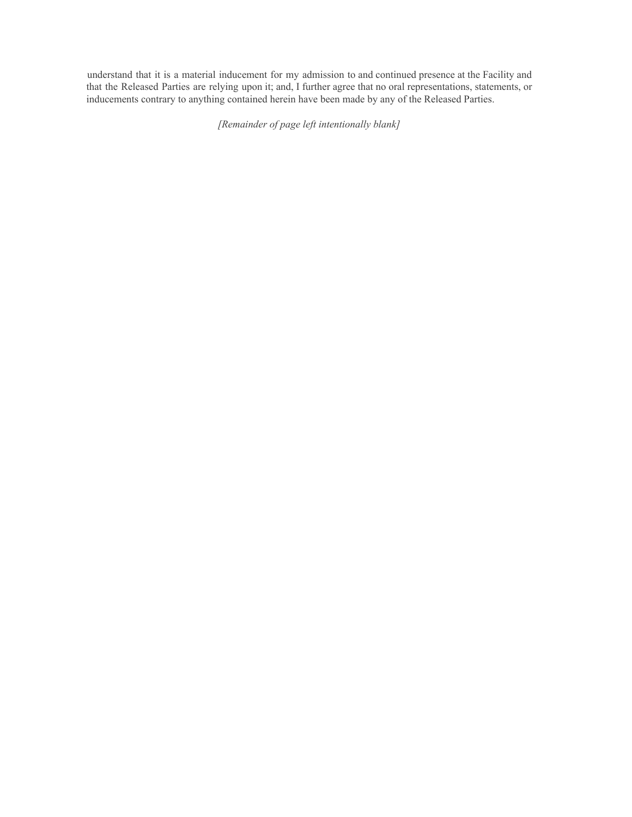understand that it is a material inducement for my admission to and continued presence at the Facility and that the Released Parties are relying upon it; and, I further agree that no oral representations, statements, or inducements contrary to anything contained herein have been made by any of the Released Parties.

*[Remainder of page left intentionally blank]*